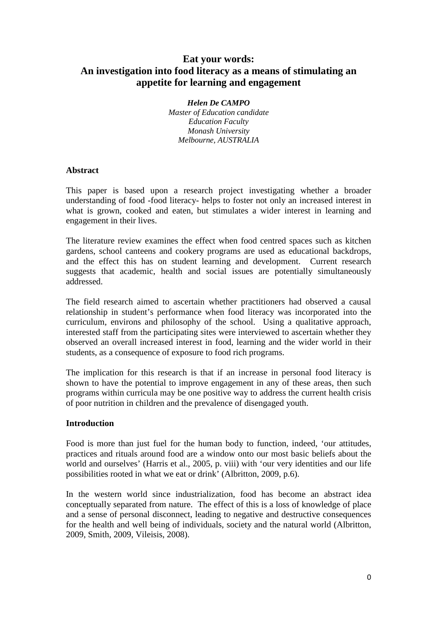# **Eat your words: An investigation into food literacy as a means of stimulating an appetite for learning and engagement**

*Helen De CAMPO Master of Education candidate Education Faculty Monash University Melbourne, AUSTRALIA* 

#### **Abstract**

This paper is based upon a research project investigating whether a broader understanding of food -food literacy- helps to foster not only an increased interest in what is grown, cooked and eaten, but stimulates a wider interest in learning and engagement in their lives.

The literature review examines the effect when food centred spaces such as kitchen gardens, school canteens and cookery programs are used as educational backdrops, and the effect this has on student learning and development. Current research suggests that academic, health and social issues are potentially simultaneously addressed.

The field research aimed to ascertain whether practitioners had observed a causal relationship in student's performance when food literacy was incorporated into the curriculum, environs and philosophy of the school. Using a qualitative approach, interested staff from the participating sites were interviewed to ascertain whether they observed an overall increased interest in food, learning and the wider world in their students, as a consequence of exposure to food rich programs.

The implication for this research is that if an increase in personal food literacy is shown to have the potential to improve engagement in any of these areas, then such programs within curricula may be one positive way to address the current health crisis of poor nutrition in children and the prevalence of disengaged youth.

## **Introduction**

Food is more than just fuel for the human body to function, indeed, 'our attitudes, practices and rituals around food are a window onto our most basic beliefs about the world and ourselves' (Harris et al., 2005, p. viii) with 'our very identities and our life possibilities rooted in what we eat or drink' (Albritton, 2009, p.6).

In the western world since industrialization, food has become an abstract idea conceptually separated from nature. The effect of this is a loss of knowledge of place and a sense of personal disconnect, leading to negative and destructive consequences for the health and well being of individuals, society and the natural world (Albritton, 2009, Smith, 2009, Vileisis, 2008).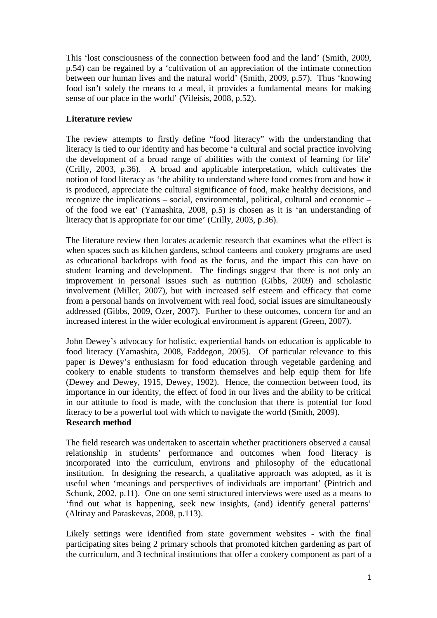This 'lost consciousness of the connection between food and the land' (Smith, 2009, p.54) can be regained by a 'cultivation of an appreciation of the intimate connection between our human lives and the natural world' (Smith, 2009, p.57). Thus 'knowing food isn't solely the means to a meal, it provides a fundamental means for making sense of our place in the world' (Vileisis, 2008, p.52).

## **Literature review**

The review attempts to firstly define "food literacy" with the understanding that literacy is tied to our identity and has become 'a cultural and social practice involving the development of a broad range of abilities with the context of learning for life' (Crilly, 2003, p.36). A broad and applicable interpretation, which cultivates the notion of food literacy as 'the ability to understand where food comes from and how it is produced, appreciate the cultural significance of food, make healthy decisions, and recognize the implications – social, environmental, political, cultural and economic – of the food we eat' (Yamashita, 2008, p.5) is chosen as it is 'an understanding of literacy that is appropriate for our time' (Crilly, 2003, p.36).

The literature review then locates academic research that examines what the effect is when spaces such as kitchen gardens, school canteens and cookery programs are used as educational backdrops with food as the focus, and the impact this can have on student learning and development. The findings suggest that there is not only an improvement in personal issues such as nutrition (Gibbs, 2009) and scholastic involvement (Miller, 2007), but with increased self esteem and efficacy that come from a personal hands on involvement with real food, social issues are simultaneously addressed (Gibbs, 2009, Ozer, 2007). Further to these outcomes, concern for and an increased interest in the wider ecological environment is apparent (Green, 2007).

John Dewey's advocacy for holistic, experiential hands on education is applicable to food literacy (Yamashita, 2008, Faddegon, 2005). Of particular relevance to this paper is Dewey's enthusiasm for food education through vegetable gardening and cookery to enable students to transform themselves and help equip them for life (Dewey and Dewey, 1915, Dewey, 1902). Hence, the connection between food, its importance in our identity, the effect of food in our lives and the ability to be critical in our attitude to food is made, with the conclusion that there is potential for food literacy to be a powerful tool with which to navigate the world (Smith, 2009). **Research method** 

The field research was undertaken to ascertain whether practitioners observed a causal relationship in students' performance and outcomes when food literacy is incorporated into the curriculum, environs and philosophy of the educational institution. In designing the research, a qualitative approach was adopted, as it is useful when 'meanings and perspectives of individuals are important' (Pintrich and Schunk, 2002, p.11). One on one semi structured interviews were used as a means to 'find out what is happening, seek new insights, (and) identify general patterns' (Altinay and Paraskevas, 2008, p.113).

Likely settings were identified from state government websites - with the final participating sites being 2 primary schools that promoted kitchen gardening as part of the curriculum, and 3 technical institutions that offer a cookery component as part of a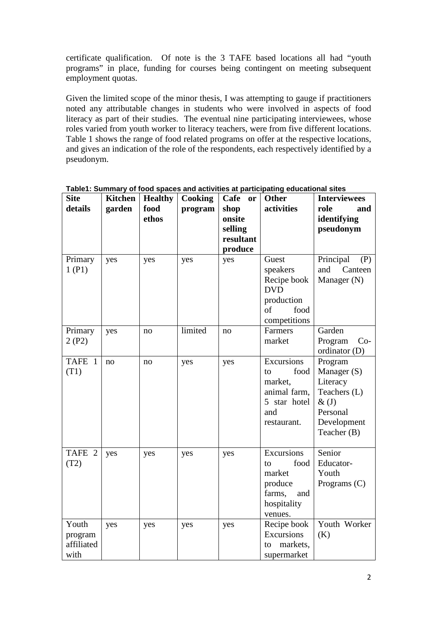certificate qualification. Of note is the 3 TAFE based locations all had "youth programs" in place, funding for courses being contingent on meeting subsequent employment quotas.

Given the limited scope of the minor thesis, I was attempting to gauge if practitioners noted any attributable changes in students who were involved in aspects of food literacy as part of their studies. The eventual nine participating interviewees, whose roles varied from youth worker to literacy teachers, were from five different locations. Table 1 shows the range of food related programs on offer at the respective locations, and gives an indication of the role of the respondents, each respectively identified by a pseudonym.

| <b>Site</b><br>details                 | <b>Kitchen</b><br>garden | <b>Healthy</b><br>food<br>ethos | Cooking<br>program | Cafe<br><b>or</b><br>shop<br>onsite<br>selling<br>resultant<br>produce | <b>Other</b><br>activities                                                                 | <b>Interviewees</b><br>role<br>and<br>identifying<br>pseudonym                                            |
|----------------------------------------|--------------------------|---------------------------------|--------------------|------------------------------------------------------------------------|--------------------------------------------------------------------------------------------|-----------------------------------------------------------------------------------------------------------|
| Primary<br>1(P1)                       | yes                      | yes                             | yes                | yes                                                                    | Guest<br>speakers<br>Recipe book<br><b>DVD</b><br>production<br>of<br>food<br>competitions | Principal<br>(P)<br>Canteen<br>and<br>Manager (N)                                                         |
| Primary<br>2(P2)                       | yes                      | no                              | limited            | no                                                                     | Farmers<br>market                                                                          | Garden<br>Program<br>$Co-$<br>ordinator (D)                                                               |
| <b>TAFE</b><br>$\overline{1}$<br>(T1)  | no                       | no                              | yes                | yes                                                                    | Excursions<br>food<br>to<br>market,<br>animal farm,<br>5 star hotel<br>and<br>restaurant.  | Program<br>Manager (S)<br>Literacy<br>Teachers (L)<br>$\&(J)$<br>Personal<br>Development<br>Teacher $(B)$ |
| TAFE 2<br>(T2)                         | yes                      | yes                             | yes                | yes                                                                    | Excursions<br>food<br>to<br>market<br>produce<br>farms,<br>and<br>hospitality<br>venues.   | Senior<br>Educator-<br>Youth<br>Programs $(C)$                                                            |
| Youth<br>program<br>affiliated<br>with | yes                      | yes                             | yes                | yes                                                                    | Recipe book<br>Excursions<br>markets,<br>to<br>supermarket                                 | Youth Worker<br>(K)                                                                                       |

**Table1: Summary of food spaces and activities at participating educational sites**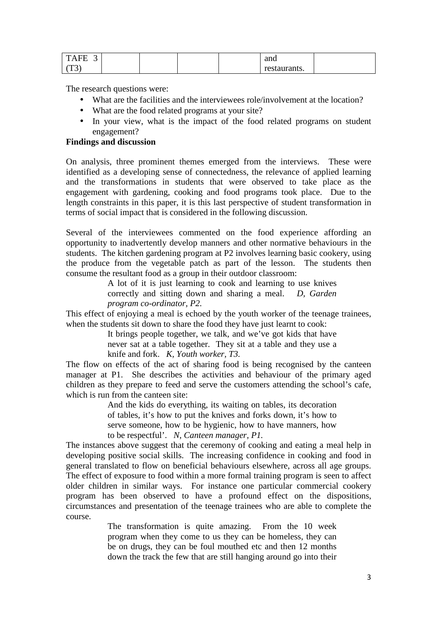| <b>TAFE</b><br>ັ |  |  | and          |  |
|------------------|--|--|--------------|--|
| $\tau$<br>1 J    |  |  | restaurants. |  |

The research questions were:

- What are the facilities and the interviewees role/involvement at the location?
- What are the food related programs at your site?
- In your view, what is the impact of the food related programs on student engagement?

## **Findings and discussion**

On analysis, three prominent themes emerged from the interviews. These were identified as a developing sense of connectedness, the relevance of applied learning and the transformations in students that were observed to take place as the engagement with gardening, cooking and food programs took place. Due to the length constraints in this paper, it is this last perspective of student transformation in terms of social impact that is considered in the following discussion.

Several of the interviewees commented on the food experience affording an opportunity to inadvertently develop manners and other normative behaviours in the students. The kitchen gardening program at P2 involves learning basic cookery, using the produce from the vegetable patch as part of the lesson. The students then consume the resultant food as a group in their outdoor classroom:

> A lot of it is just learning to cook and learning to use knives correctly and sitting down and sharing a meal. *D, Garden program co-ordinator, P2.*

This effect of enjoying a meal is echoed by the youth worker of the teenage trainees, when the students sit down to share the food they have just learnt to cook:

> It brings people together, we talk, and we've got kids that have never sat at a table together. They sit at a table and they use a knife and fork. *K, Youth worker, T3.*

The flow on effects of the act of sharing food is being recognised by the canteen manager at P1. She describes the activities and behaviour of the primary aged children as they prepare to feed and serve the customers attending the school's cafe, which is run from the canteen site:

> And the kids do everything, its waiting on tables, its decoration of tables, it's how to put the knives and forks down, it's how to serve someone, how to be hygienic, how to have manners, how to be respectful'. *N, Canteen manager, P1.*

The instances above suggest that the ceremony of cooking and eating a meal help in developing positive social skills. The increasing confidence in cooking and food in general translated to flow on beneficial behaviours elsewhere, across all age groups. The effect of exposure to food within a more formal training program is seen to affect older children in similar ways. For instance one particular commercial cookery program has been observed to have a profound effect on the dispositions, circumstances and presentation of the teenage trainees who are able to complete the course.

> The transformation is quite amazing. From the 10 week program when they come to us they can be homeless, they can be on drugs, they can be foul mouthed etc and then 12 months down the track the few that are still hanging around go into their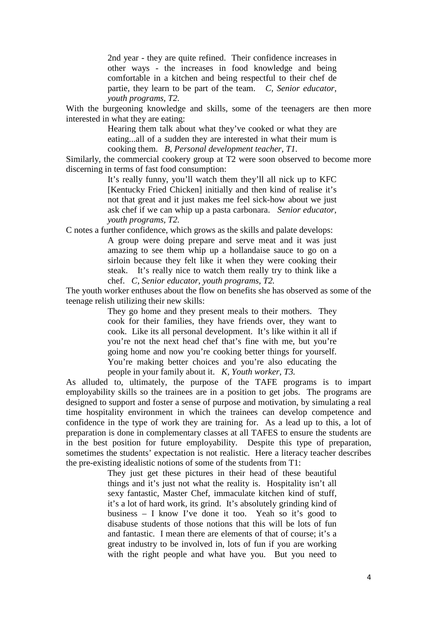2nd year - they are quite refined. Their confidence increases in other ways - the increases in food knowledge and being comfortable in a kitchen and being respectful to their chef de partie, they learn to be part of the team. *C, Senior educator, youth programs, T2.* 

With the burgeoning knowledge and skills, some of the teenagers are then more interested in what they are eating:

> Hearing them talk about what they've cooked or what they are eating...all of a sudden they are interested in what their mum is cooking them. *B, Personal development teacher, T1.*

Similarly, the commercial cookery group at T2 were soon observed to become more discerning in terms of fast food consumption:

> It's really funny, you'll watch them they'll all nick up to KFC [Kentucky Fried Chicken] initially and then kind of realise it's not that great and it just makes me feel sick-how about we just ask chef if we can whip up a pasta carbonara. *Senior educator, youth programs, T2.*

C notes a further confidence, which grows as the skills and palate develops:

A group were doing prepare and serve meat and it was just amazing to see them whip up a hollandaise sauce to go on a sirloin because they felt like it when they were cooking their steak. It's really nice to watch them really try to think like a chef. *C, Senior educator, youth programs, T2.* 

The youth worker enthuses about the flow on benefits she has observed as some of the teenage relish utilizing their new skills:

> They go home and they present meals to their mothers. They cook for their families, they have friends over, they want to cook. Like its all personal development. It's like within it all if you're not the next head chef that's fine with me, but you're going home and now you're cooking better things for yourself. You're making better choices and you're also educating the people in your family about it. *K, Youth worker, T3.*

As alluded to, ultimately, the purpose of the TAFE programs is to impart employability skills so the trainees are in a position to get jobs. The programs are designed to support and foster a sense of purpose and motivation, by simulating a real time hospitality environment in which the trainees can develop competence and confidence in the type of work they are training for. As a lead up to this, a lot of preparation is done in complementary classes at all TAFES to ensure the students are in the best position for future employability. Despite this type of preparation, sometimes the students' expectation is not realistic. Here a literacy teacher describes the pre-existing idealistic notions of some of the students from T1:

> They just get these pictures in their head of these beautiful things and it's just not what the reality is. Hospitality isn't all sexy fantastic, Master Chef, immaculate kitchen kind of stuff, it's a lot of hard work, its grind. It's absolutely grinding kind of business – I know I've done it too. Yeah so it's good to disabuse students of those notions that this will be lots of fun and fantastic. I mean there are elements of that of course; it's a great industry to be involved in, lots of fun if you are working with the right people and what have you. But you need to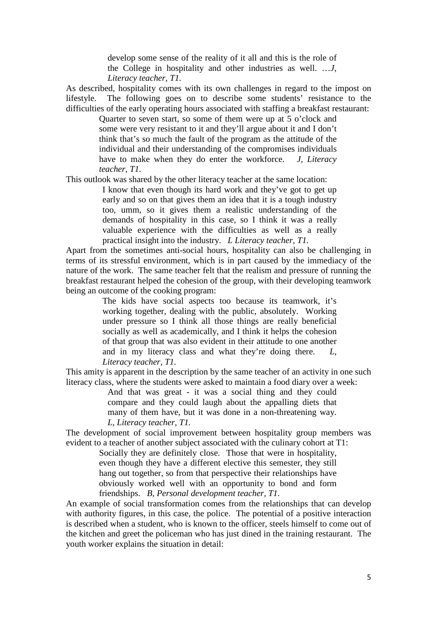develop some sense of the reality of it all and this is the role of the College in hospitality and other industries as well. …*J, Literacy teacher, T1.* 

As described, hospitality comes with its own challenges in regard to the impost on lifestyle. The following goes on to describe some students' resistance to the difficulties of the early operating hours associated with staffing a breakfast restaurant:

> Quarter to seven start, so some of them were up at 5 o'clock and some were very resistant to it and they'll argue about it and I don't think that's so much the fault of the program as the attitude of the individual and their understanding of the compromises individuals have to make when they do enter the workforce. *J, Literacy teacher, T1.*

This outlook was shared by the other literacy teacher at the same location:

I know that even though its hard work and they've got to get up early and so on that gives them an idea that it is a tough industry too, umm, so it gives them a realistic understanding of the demands of hospitality in this case, so I think it was a really valuable experience with the difficulties as well as a really practical insight into the industry. *L Literacy teacher, T1.* 

Apart from the sometimes anti-social hours, hospitality can also be challenging in terms of its stressful environment, which is in part caused by the immediacy of the nature of the work. The same teacher felt that the realism and pressure of running the breakfast restaurant helped the cohesion of the group, with their developing teamwork being an outcome of the cooking program:

> The kids have social aspects too because its teamwork, it's working together, dealing with the public, absolutely. Working under pressure so I think all those things are really beneficial socially as well as academically, and I think it helps the cohesion of that group that was also evident in their attitude to one another and in my literacy class and what they're doing there. *L, Literacy teacher, T1.*

This amity is apparent in the description by the same teacher of an activity in one such literacy class, where the students were asked to maintain a food diary over a week:

> And that was great - it was a social thing and they could compare and they could laugh about the appalling diets that many of them have, but it was done in a non-threatening way. *L, Literacy teacher, T1.*

The development of social improvement between hospitality group members was evident to a teacher of another subject associated with the culinary cohort at T1:

> Socially they are definitely close. Those that were in hospitality, even though they have a different elective this semester, they still hang out together, so from that perspective their relationships have obviously worked well with an opportunity to bond and form friendships. *B, Personal development teacher, T1.*

An example of social transformation comes from the relationships that can develop with authority figures, in this case, the police. The potential of a positive interaction is described when a student, who is known to the officer, steels himself to come out of the kitchen and greet the policeman who has just dined in the training restaurant. The youth worker explains the situation in detail: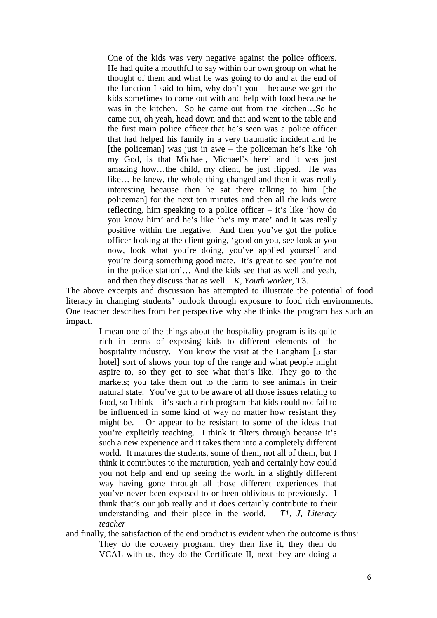One of the kids was very negative against the police officers. He had quite a mouthful to say within our own group on what he thought of them and what he was going to do and at the end of the function I said to him, why don't you – because we get the kids sometimes to come out with and help with food because he was in the kitchen. So he came out from the kitchen…So he came out, oh yeah, head down and that and went to the table and the first main police officer that he's seen was a police officer that had helped his family in a very traumatic incident and he [the policeman] was just in awe – the policeman he's like 'oh my God, is that Michael, Michael's here' and it was just amazing how…the child, my client, he just flipped. He was like… he knew, the whole thing changed and then it was really interesting because then he sat there talking to him [the policeman] for the next ten minutes and then all the kids were reflecting, him speaking to a police officer – it's like 'how do you know him' and he's like 'he's my mate' and it was really positive within the negative. And then you've got the police officer looking at the client going, 'good on you, see look at you now, look what you're doing, you've applied yourself and you're doing something good mate. It's great to see you're not in the police station'… And the kids see that as well and yeah, and then they discuss that as well. *K, Youth worker*, T3.

The above excerpts and discussion has attempted to illustrate the potential of food literacy in changing students' outlook through exposure to food rich environments. One teacher describes from her perspective why she thinks the program has such an impact.

> I mean one of the things about the hospitality program is its quite rich in terms of exposing kids to different elements of the hospitality industry. You know the visit at the Langham [5 star hotel] sort of shows your top of the range and what people might aspire to, so they get to see what that's like. They go to the markets; you take them out to the farm to see animals in their natural state. You've got to be aware of all those issues relating to food, so I think – it's such a rich program that kids could not fail to be influenced in some kind of way no matter how resistant they might be. Or appear to be resistant to some of the ideas that you're explicitly teaching. I think it filters through because it's such a new experience and it takes them into a completely different world. It matures the students, some of them, not all of them, but I think it contributes to the maturation, yeah and certainly how could you not help and end up seeing the world in a slightly different way having gone through all those different experiences that you've never been exposed to or been oblivious to previously. I think that's our job really and it does certainly contribute to their understanding and their place in the world. *T1, J, Literacy teacher*

and finally, the satisfaction of the end product is evident when the outcome is thus: They do the cookery program, they then like it, they then do VCAL with us, they do the Certificate II, next they are doing a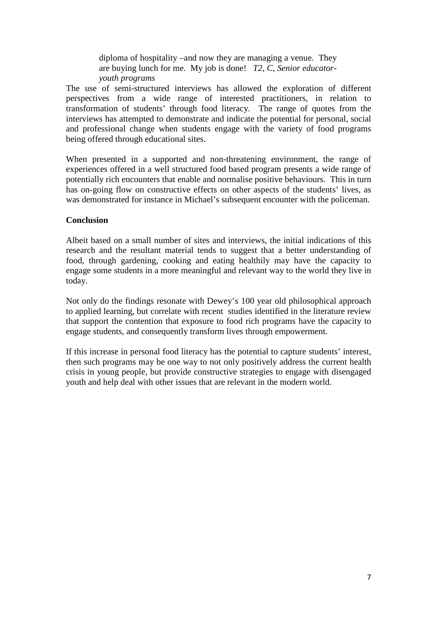diploma of hospitality –and now they are managing a venue. They are buying lunch for me. My job is done! *T2, C, Senior educatoryouth programs* 

The use of semi-structured interviews has allowed the exploration of different perspectives from a wide range of interested practitioners, in relation to transformation of students' through food literacy. The range of quotes from the interviews has attempted to demonstrate and indicate the potential for personal, social and professional change when students engage with the variety of food programs being offered through educational sites.

When presented in a supported and non-threatening environment, the range of experiences offered in a well structured food based program presents a wide range of potentially rich encounters that enable and normalise positive behaviours. This in turn has on-going flow on constructive effects on other aspects of the students' lives, as was demonstrated for instance in Michael's subsequent encounter with the policeman.

#### **Conclusion**

Albeit based on a small number of sites and interviews, the initial indications of this research and the resultant material tends to suggest that a better understanding of food, through gardening, cooking and eating healthily may have the capacity to engage some students in a more meaningful and relevant way to the world they live in today.

Not only do the findings resonate with Dewey's 100 year old philosophical approach to applied learning, but correlate with recent studies identified in the literature review that support the contention that exposure to food rich programs have the capacity to engage students, and consequently transform lives through empowerment.

If this increase in personal food literacy has the potential to capture students' interest, then such programs may be one way to not only positively address the current health crisis in young people, but provide constructive strategies to engage with disengaged youth and help deal with other issues that are relevant in the modern world.